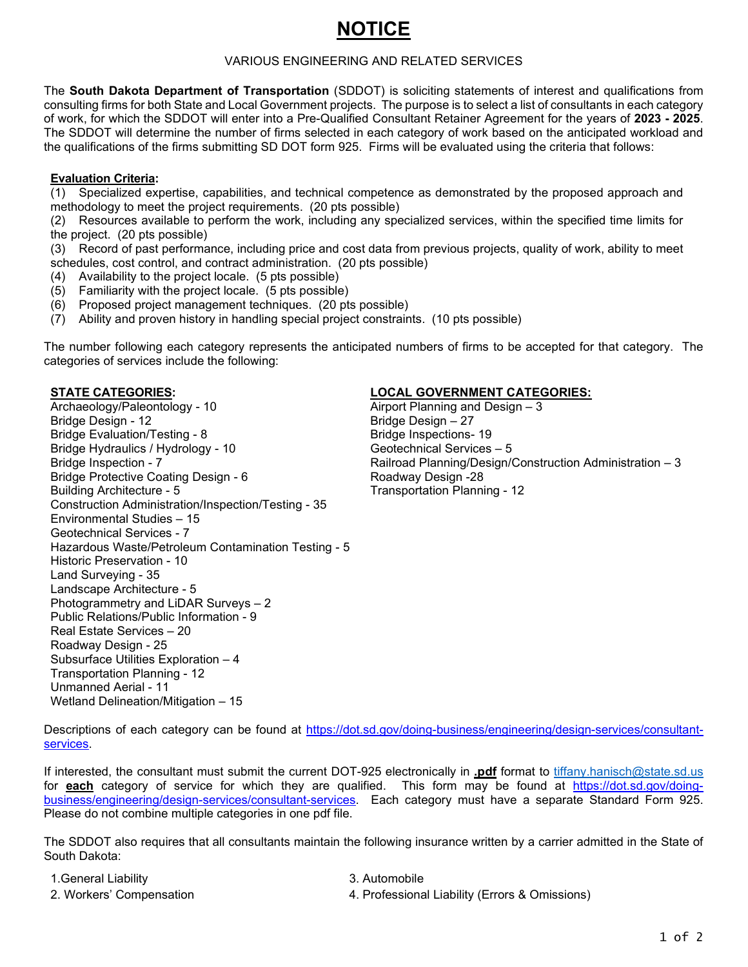# **NOTICE**

#### VARIOUS ENGINEERING AND RELATED SERVICES

The **South Dakota Department of Transportation** (SDDOT) is soliciting statements of interest and qualifications from consulting firms for both State and Local Government projects. The purpose is to select a list of consultants in each category of work, for which the SDDOT will enter into a Pre-Qualified Consultant Retainer Agreement for the years of **2023 - 2025**. The SDDOT will determine the number of firms selected in each category of work based on the anticipated workload and the qualifications of the firms submitting SD DOT form 925. Firms will be evaluated using the criteria that follows:

## **Evaluation Criteria:**

(1) Specialized expertise, capabilities, and technical competence as demonstrated by the proposed approach and methodology to meet the project requirements. (20 pts possible)

(2) Resources available to perform the work, including any specialized services, within the specified time limits for the project. (20 pts possible)

(3) Record of past performance, including price and cost data from previous projects, quality of work, ability to meet schedules, cost control, and contract administration. (20 pts possible)

- (4) Availability to the project locale. (5 pts possible)
- (5) Familiarity with the project locale. (5 pts possible)
- (6) Proposed project management techniques. (20 pts possible)
- (7) Ability and proven history in handling special project constraints. (10 pts possible)

The number following each category represents the anticipated numbers of firms to be accepted for that category. The categories of services include the following:

Archaeology/Paleontology - 10 Airport Planning and Design - 3 Bridge Design - 12 Bridge Design – 27 Bridge Evaluation/Testing - 8 and 19 Bridge Inspections- 19 Bridge Hydraulics / Hydrology - 10 Geotechnical Services – 5<br>Bridge Inspection - 7 Geotechnical Services – 5 Bridge Protective Coating Design - 6<br>Building Architecture - 5 Construction Administration/Inspection/Testing - 35 Environmental Studies – 15 Geotechnical Services - 7 Hazardous Waste/Petroleum Contamination Testing - 5 Historic Preservation - 10 Land Surveying - 35 Landscape Architecture - 5 Photogrammetry and LiDAR Surveys – 2 Public Relations/Public Information - 9 Real Estate Services – 20 Roadway Design - 25 Subsurface Utilities Exploration – 4 Transportation Planning - 12 Unmanned Aerial - 11 Wetland Delineation/Mitigation – 15

## **STATE CATEGORIES: LOCAL GOVERNMENT CATEGORIES:**

Railroad Planning/Design/Construction Administration – 3<br>Roadway Design -28 **Transportation Planning - 12** 

Descriptions of each category can be found at [https://dot.sd.gov/doing-business/engineering/design-services/consultant](https://dot.sd.gov/doing-business/engineering/design-services/consultant-services)[services.](https://dot.sd.gov/doing-business/engineering/design-services/consultant-services)

If interested, the consultant must submit the current DOT-925 electronically in **.pdf** format to [tiffany.hanisch@state.sd.us](mailto:tiffany.hanisch@state.sd.us) for **each** category of service for which they are qualified. This form may be found at [https://dot.sd.gov/doing](https://dot.sd.gov/doing-business/engineering/design-services/consultant-services)[business/engineering/design-services/consultant-services.](https://dot.sd.gov/doing-business/engineering/design-services/consultant-services) Each category must have a separate Standard Form 925. Please do not combine multiple categories in one pdf file.

The SDDOT also requires that all consultants maintain the following insurance written by a carrier admitted in the State of South Dakota:

| 1. General Liability     | 3. Automobile                                  |
|--------------------------|------------------------------------------------|
| 2. Workers' Compensation | 4. Professional Liability (Errors & Omissions) |